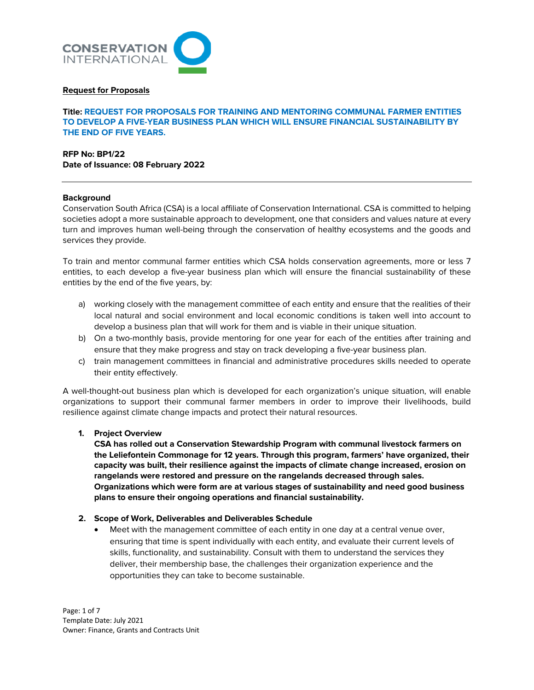

### **Request for Proposals**

**Title: REQUEST FOR PROPOSALS FOR TRAINING AND MENTORING COMMUNAL FARMER ENTITIES TO DEVELOP A FIVE-YEAR BUSINESS PLAN WHICH WILL ENSURE FINANCIAL SUSTAINABILITY BY THE END OF FIVE YEARS.**

**RFP No: BP1/22 Date of Issuance: 08 February 2022**

#### **Background**

Conservation South Africa (CSA) is a local affiliate of Conservation International. CSA is committed to helping societies adopt a more sustainable approach to development, one that considers and values nature at every turn and improves human well-being through the conservation of healthy ecosystems and the goods and services they provide.

To train and mentor communal farmer entities which CSA holds conservation agreements, more or less 7 entities, to each develop a five-year business plan which will ensure the financial sustainability of these entities by the end of the five years, by:

- a) working closely with the management committee of each entity and ensure that the realities of their local natural and social environment and local economic conditions is taken well into account to develop a business plan that will work for them and is viable in their unique situation.
- b) On a two-monthly basis, provide mentoring for one year for each of the entities after training and ensure that they make progress and stay on track developing a five-year business plan.
- c) train management committees in financial and administrative procedures skills needed to operate their entity effectively.

A well-thought-out business plan which is developed for each organization's unique situation, will enable organizations to support their communal farmer members in order to improve their livelihoods, build resilience against climate change impacts and protect their natural resources.

# **1. Project Overview**

**CSA has rolled out a Conservation Stewardship Program with communal livestock farmers on the Leliefontein Commonage for 12 years. Through this program, farmers' have organized, their capacity was built, their resilience against the impacts of climate change increased, erosion on rangelands were restored and pressure on the rangelands decreased through sales. Organizations which were form are at various stages of sustainability and need good business plans to ensure their ongoing operations and financial sustainability.** 

#### **2. Scope of Work, Deliverables and Deliverables Schedule**

• Meet with the management committee of each entity in one day at a central venue over, ensuring that time is spent individually with each entity, and evaluate their current levels of skills, functionality, and sustainability. Consult with them to understand the services they deliver, their membership base, the challenges their organization experience and the opportunities they can take to become sustainable.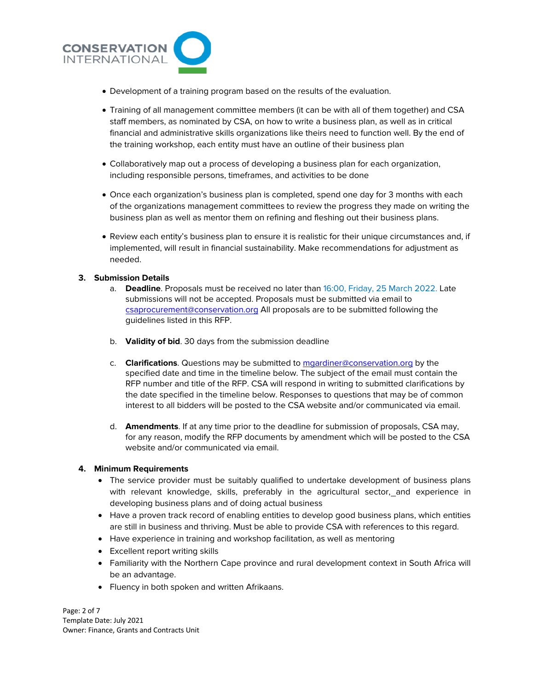

- Development of a training program based on the results of the evaluation.
- Training of all management committee members (it can be with all of them together) and CSA staff members, as nominated by CSA, on how to write a business plan, as well as in critical financial and administrative skills organizations like theirs need to function well. By the end of the training workshop, each entity must have an outline of their business plan
- Collaboratively map out a process of developing a business plan for each organization, including responsible persons, timeframes, and activities to be done
- Once each organization's business plan is completed, spend one day for 3 months with each of the organizations management committees to review the progress they made on writing the business plan as well as mentor them on refining and fleshing out their business plans.
- Review each entity's business plan to ensure it is realistic for their unique circumstances and, if implemented, will result in financial sustainability. Make recommendations for adjustment as needed.

# **3. Submission Details**

- a. **Deadline**. Proposals must be received no later than 16:00, Friday, 25 March 2022. Late submissions will not be accepted. Proposals must be submitted via email to csaprocurement@conservation.org All proposals are to be submitted following the guidelines listed in this RFP.
- b. **Validity of bid**. 30 days from the submission deadline
- c. **Clarifications**. Questions may be submitted to mgardiner@conservation.org by the specified date and time in the timeline below. The subject of the email must contain the RFP number and title of the RFP. CSA will respond in writing to submitted clarifications by the date specified in the timeline below. Responses to questions that may be of common interest to all bidders will be posted to the CSA website and/or communicated via email.
- d. **Amendments**. If at any time prior to the deadline for submission of proposals, CSA may, for any reason, modify the RFP documents by amendment which will be posted to the CSA website and/or communicated via email.

# **4. Minimum Requirements**

- The service provider must be suitably qualified to undertake development of business plans with relevant knowledge, skills, preferably in the agricultural sector, and experience in developing business plans and of doing actual business
- Have a proven track record of enabling entities to develop good business plans, which entities are still in business and thriving. Must be able to provide CSA with references to this regard.
- Have experience in training and workshop facilitation, as well as mentoring
- Excellent report writing skills
- Familiarity with the Northern Cape province and rural development context in South Africa will be an advantage.
- Fluency in both spoken and written Afrikaans.

Page: 2 of 7 Template Date: July 2021 Owner: Finance, Grants and Contracts Unit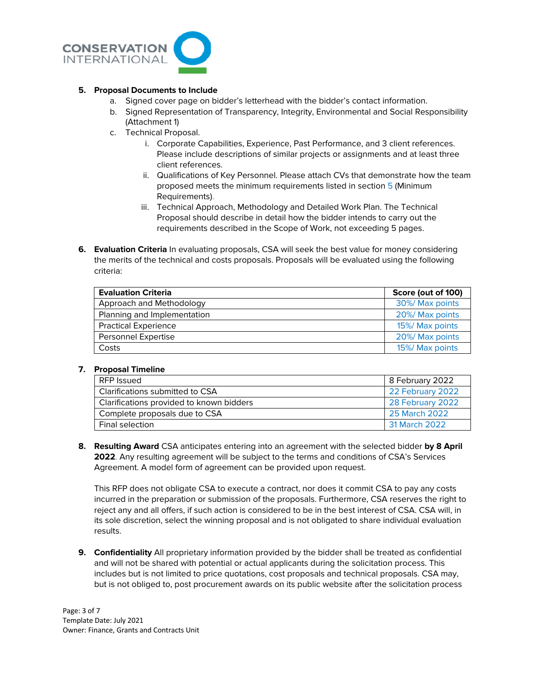

# **5. Proposal Documents to Include**

- a. Signed cover page on bidder's letterhead with the bidder's contact information.
- b. Signed Representation of Transparency, Integrity, Environmental and Social Responsibility (Attachment 1)
- c. Technical Proposal.
	- i. Corporate Capabilities, Experience, Past Performance, and 3 client references. Please include descriptions of similar projects or assignments and at least three client references.
	- ii. Qualifications of Key Personnel. Please attach CVs that demonstrate how the team proposed meets the minimum requirements listed in section 5 (Minimum Requirements).
	- iii. Technical Approach, Methodology and Detailed Work Plan. The Technical Proposal should describe in detail how the bidder intends to carry out the requirements described in the Scope of Work, not exceeding 5 pages.
- **6. Evaluation Criteria** In evaluating proposals, CSA will seek the best value for money considering the merits of the technical and costs proposals. Proposals will be evaluated using the following criteria:

| <b>Evaluation Criteria</b>  | Score (out of 100) |
|-----------------------------|--------------------|
| Approach and Methodology    | 30%/ Max points    |
| Planning and Implementation | 20%/ Max points    |
| <b>Practical Experience</b> | 15%/ Max points    |
| Personnel Expertise         | 20%/ Max points    |
| Costs                       | 15%/ Max points    |

# **7. Proposal Timeline**

| RFP Issued                               | 8 February 2022  |
|------------------------------------------|------------------|
| Clarifications submitted to CSA          | 22 February 2022 |
| Clarifications provided to known bidders | 28 February 2022 |
| Complete proposals due to CSA            | 25 March 2022    |
| <b>Final selection</b>                   | 31 March 2022    |

**8. Resulting Award** CSA anticipates entering into an agreement with the selected bidder **by 8 April 2022**. Any resulting agreement will be subject to the terms and conditions of CSA's Services Agreement. A model form of agreement can be provided upon request.

This RFP does not obligate CSA to execute a contract, nor does it commit CSA to pay any costs incurred in the preparation or submission of the proposals. Furthermore, CSA reserves the right to reject any and all offers, if such action is considered to be in the best interest of CSA. CSA will, in its sole discretion, select the winning proposal and is not obligated to share individual evaluation results.

**9. Confidentiality** All proprietary information provided by the bidder shall be treated as confidential and will not be shared with potential or actual applicants during the solicitation process. This includes but is not limited to price quotations, cost proposals and technical proposals. CSA may, but is not obliged to, post procurement awards on its public website after the solicitation process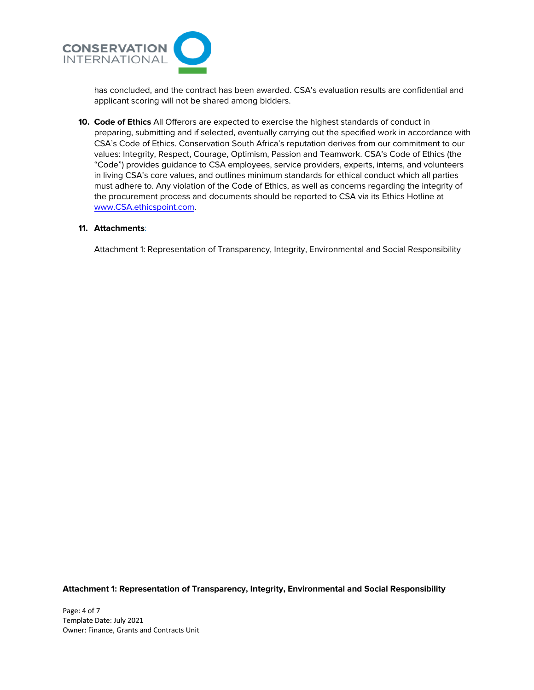

has concluded, and the contract has been awarded. CSA's evaluation results are confidential and applicant scoring will not be shared among bidders.

**10. Code of Ethics** All Offerors are expected to exercise the highest standards of conduct in preparing, submitting and if selected, eventually carrying out the specified work in accordance with CSA's Code of Ethics. Conservation South Africa's reputation derives from our commitment to our values: Integrity, Respect, Courage, Optimism, Passion and Teamwork. CSA's Code of Ethics (the "Code") provides guidance to CSA employees, service providers, experts, interns, and volunteers in living CSA's core values, and outlines minimum standards for ethical conduct which all parties must adhere to. Any violation of the Code of Ethics, as well as concerns regarding the integrity of the procurement process and documents should be reported to CSA via its Ethics Hotline at www.CSA.ethicspoint.com.

### **11. Attachments**:

Attachment 1: Representation of Transparency, Integrity, Environmental and Social Responsibility

**Attachment 1: Representation of Transparency, Integrity, Environmental and Social Responsibility**

Page: 4 of 7 Template Date: July 2021 Owner: Finance, Grants and Contracts Unit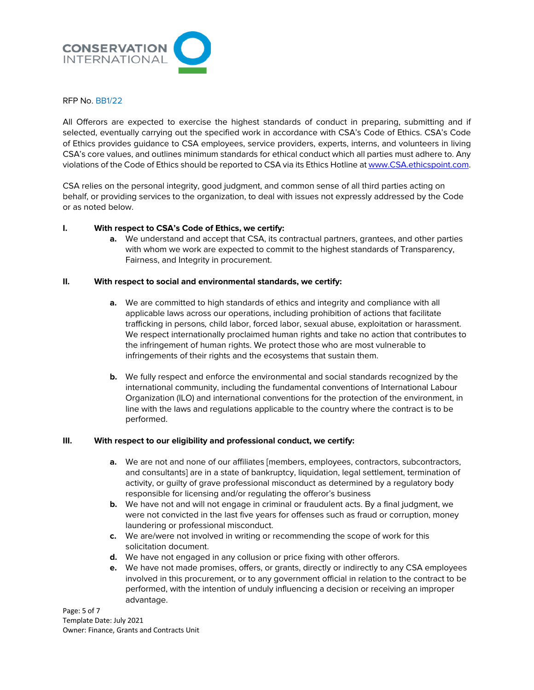

#### RFP No. BB1/22

All Offerors are expected to exercise the highest standards of conduct in preparing, submitting and if selected, eventually carrying out the specified work in accordance with CSA's Code of Ethics. CSA's Code of Ethics provides guidance to CSA employees, service providers, experts, interns, and volunteers in living CSA's core values, and outlines minimum standards for ethical conduct which all parties must adhere to. Any violations of the Code of Ethics should be reported to CSA via its Ethics Hotline at www.CSA.ethicspoint.com.

CSA relies on the personal integrity, good judgment, and common sense of all third parties acting on behalf, or providing services to the organization, to deal with issues not expressly addressed by the Code or as noted below.

### **I. With respect to CSA's Code of Ethics, we certify:**

**a.** We understand and accept that CSA, its contractual partners, grantees, and other parties with whom we work are expected to commit to the highest standards of Transparency, Fairness, and Integrity in procurement.

### **II. With respect to social and environmental standards, we certify:**

- **a.** We are committed to high standards of ethics and integrity and compliance with all applicable laws across our operations, including prohibition of actions that facilitate trafficking in persons*,* child labor, forced labor, sexual abuse, exploitation or harassment. We respect internationally proclaimed human rights and take no action that contributes to the infringement of human rights. We protect those who are most vulnerable to infringements of their rights and the ecosystems that sustain them.
- **b.** We fully respect and enforce the environmental and social standards recognized by the international community, including the fundamental conventions of International Labour Organization (ILO) and international conventions for the protection of the environment, in line with the laws and regulations applicable to the country where the contract is to be performed.

# **III. With respect to our eligibility and professional conduct, we certify:**

- **a.** We are not and none of our affiliates [members, employees, contractors, subcontractors, and consultants] are in a state of bankruptcy, liquidation, legal settlement, termination of activity, or guilty of grave professional misconduct as determined by a regulatory body responsible for licensing and/or regulating the offeror's business
- **b.** We have not and will not engage in criminal or fraudulent acts. By a final judgment, we were not convicted in the last five years for offenses such as fraud or corruption, money laundering or professional misconduct.
- **c.** We are/were not involved in writing or recommending the scope of work for this solicitation document.
- **d.** We have not engaged in any collusion or price fixing with other offerors.
- **e.** We have not made promises, offers, or grants, directly or indirectly to any CSA employees involved in this procurement, or to any government official in relation to the contract to be performed, with the intention of unduly influencing a decision or receiving an improper advantage.

Page: 5 of 7 Template Date: July 2021 Owner: Finance, Grants and Contracts Unit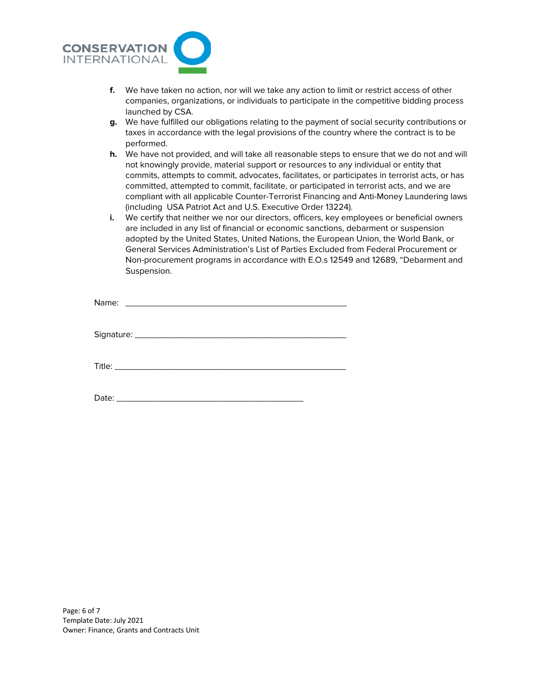

- **f.** We have taken no action, nor will we take any action to limit or restrict access of other companies, organizations, or individuals to participate in the competitive bidding process launched by CSA.
- **g.** We have fulfilled our obligations relating to the payment of social security contributions or taxes in accordance with the legal provisions of the country where the contract is to be performed.
- **h.** We have not provided, and will take all reasonable steps to ensure that we do not and will not knowingly provide, material support or resources to any individual or entity that commits, attempts to commit, advocates, facilitates, or participates in terrorist acts, or has committed, attempted to commit, facilitate, or participated in terrorist acts, and we are compliant with all applicable Counter-Terrorist Financing and Anti-Money Laundering laws (including USA Patriot Act and U.S. Executive Order 13224).
- **i.** We certify that neither we nor our directors, officers, key employees or beneficial owners are included in any list of financial or economic sanctions, debarment or suspension adopted by the United States, United Nations, the European Union, the World Bank, or General Services Administration's List of Parties Excluded from Federal Procurement or Non-procurement programs in accordance with E.O.s 12549 and 12689, "Debarment and Suspension.

Date:  $\frac{1}{2}$